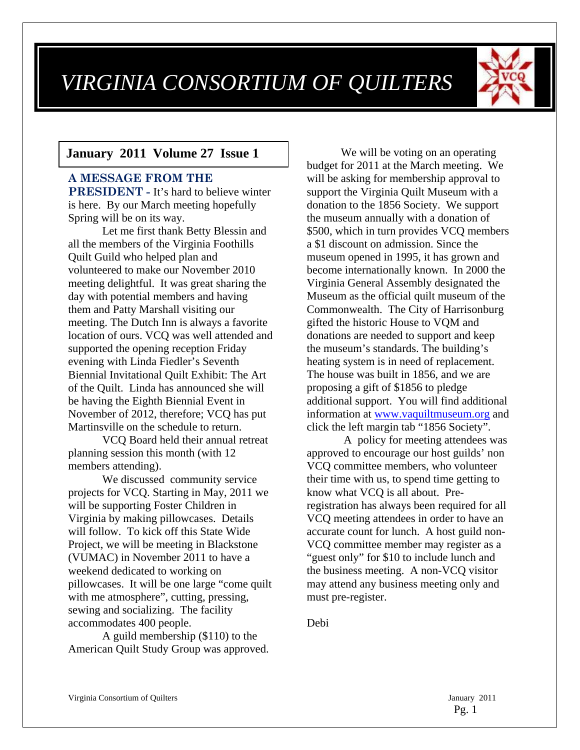# *VIRGINIA CONSORTIUM OF QUILTERS*



#### **January 2011 Volume 27 Issue 1**

## **A MESSAGE FROM THE PRESIDENT -** It's hard to believe winter is here. By our March meeting hopefully Spring will be on its way.

Let me first thank Betty Blessin and all the members of the Virginia Foothills Quilt Guild who helped plan and volunteered to make our November 2010 meeting delightful. It was great sharing the day with potential members and having them and Patty Marshall visiting our meeting. The Dutch Inn is always a favorite location of ours. VCQ was well attended and supported the opening reception Friday evening with Linda Fiedler's Seventh Biennial Invitational Quilt Exhibit: The Art of the Quilt. Linda has announced she will be having the Eighth Biennial Event in November of 2012, therefore; VCQ has put Martinsville on the schedule to return.

VCQ Board held their annual retreat planning session this month (with 12 members attending).

We discussed community service projects for VCQ. Starting in May, 2011 we will be supporting Foster Children in Virginia by making pillowcases. Details will follow. To kick off this State Wide Project, we will be meeting in Blackstone (VUMAC) in November 2011 to have a weekend dedicated to working on pillowcases. It will be one large "come quilt with me atmosphere", cutting, pressing, sewing and socializing. The facility accommodates 400 people.

A guild membership (\$110) to the American Quilt Study Group was approved.

We will be voting on an operating budget for 2011 at the March meeting. We will be asking for membership approval to support the Virginia Quilt Museum with a donation to the 1856 Society. We support the museum annually with a donation of \$500, which in turn provides VCQ members a \$1 discount on admission. Since the museum opened in 1995, it has grown and become internationally known. In 2000 the Virginia General Assembly designated the Museum as the official quilt museum of the Commonwealth. The City of Harrisonburg gifted the historic House to VQM and donations are needed to support and keep the museum's standards. The building's heating system is in need of replacement. The house was built in 1856, and we are proposing a gift of \$1856 to pledge additional support. You will find additional information at www.vaquiltmuseum.org and click the left margin tab "1856 Society".

 A policy for meeting attendees was approved to encourage our host guilds' non VCQ committee members, who volunteer their time with us, to spend time getting to know what VCQ is all about. Preregistration has always been required for all VCQ meeting attendees in order to have an accurate count for lunch. A host guild non-VCQ committee member may register as a "guest only" for \$10 to include lunch and the business meeting. A non-VCQ visitor may attend any business meeting only and must pre-register.

Debi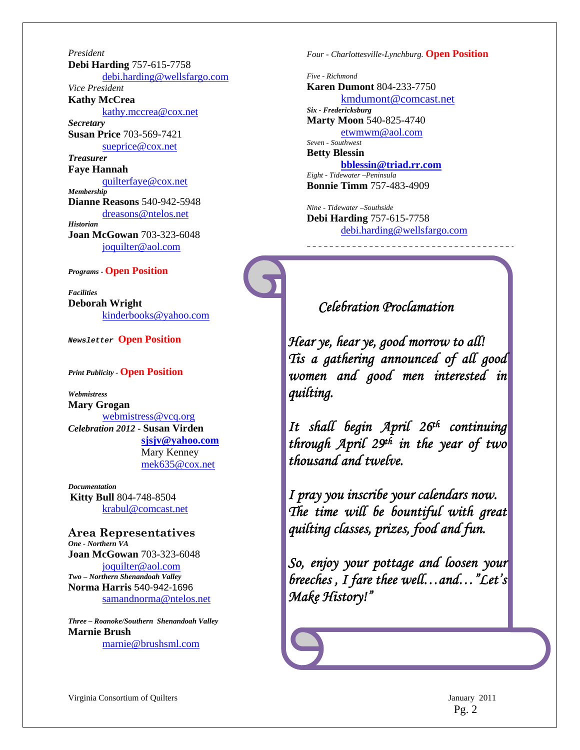*President*  **Debi Harding** 757-615-7758 debi.harding@wellsfargo.com *Vice President*  **Kathy McCrea**  kathy.mccrea@cox.net *Secretary*  **Susan Price** 703-569-7421 sueprice@cox.net *Treasurer*  **Faye Hannah**  quilterfaye@cox.net *Membership*  **Dianne Reasons** 540-942-5948 dreasons@ntelos.net *Historian*  **Joan McGowan** 703-323-6048 joquilter@aol.com

#### *Programs -* **Open Position**

*Facilities*  **Deborah Wright**  kinderbooks@yahoo.com

*Newsletter* **Open Position**

*Print Publicity -* **Open Position** 

*Webmistress*  **Mary Grogan**  webmistress@vcq.org *Celebration 2012 -* **Susan Virden sjsjv@yahoo.com** Mary Kenney mek635@cox.net

*Documentation*  **Kitty Bull** 804-748-8504 krabul@comcast.net

**Area Representatives**  *One - Northern VA*  **Joan McGowan** 703-323-6048 joquilter@aol.com *Two – Northern Shenandoah Valley* **Norma Harris** 540-942-1696 samandnorma@ntelos.net

*Three – Roanoke/Southern Shenandoah Valley*  **Marnie Brush** marnie@brushsml.com

*Four - Charlottesville-Lynchburg.* **Open Position** 

*Five - Richmond*  **Karen Dumont** 804-233-7750 kmdumont@comcast.net *Six - Fredericksburg*  **Marty Moon** 540-825-4740 etwmwm@aol.com *Seven - Southwest*  **Betty Blessin bblessin@triad.rr.com** *Eight - Tidewater –Peninsula*  **Bonnie Timm** 757-483-4909

*Nine - Tidewater –Southside*  **Debi Harding** 757-615-7758 debi.harding@wellsfargo.com

### *Celebration Proclamation*

*Hear ye, hear ye, good morrow to all! Tis a gathering announced of all good women and good men interested in quilting.* 

*It shall begin April 26th continuing through April 29th in the year of two thousand and twelve.* 

*I pray you inscribe your calendars now. The time will be bountiful with great quilting classes, prizes, food and fun.* 

*So, enjoy your pottage and loosen your breeches , I fare thee well…and…"Let's Make History!"*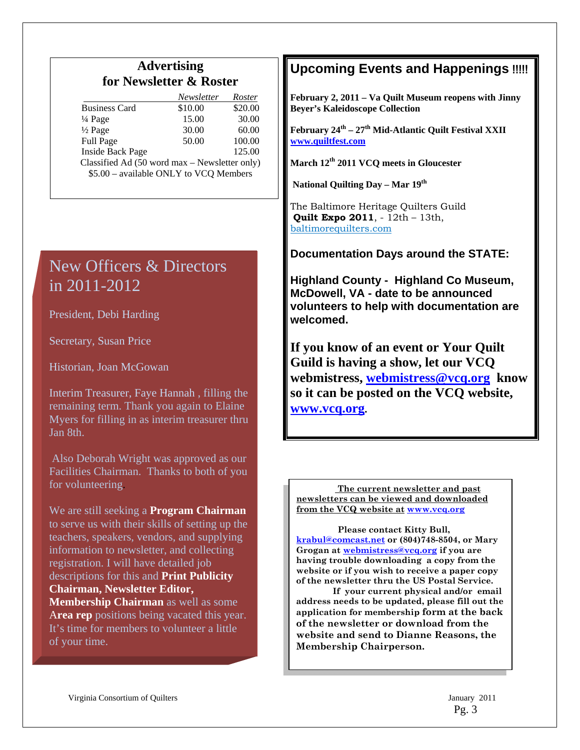# **Advertising for Newsletter & Roster**

|                                               | Newsletter | Roster  |  |  |
|-----------------------------------------------|------------|---------|--|--|
| <b>Business Card</b>                          | \$10.00    | \$20.00 |  |  |
| 1/4 Page                                      | 15.00      | 30.00   |  |  |
| $\frac{1}{2}$ Page                            | 30.00      | 60.00   |  |  |
| Full Page                                     | 50.00      | 100.00  |  |  |
| <b>Inside Back Page</b>                       |            | 125.00  |  |  |
| Classified Ad (50 word max - Newsletter only) |            |         |  |  |
| \$5.00 - available ONLY to VCQ Members        |            |         |  |  |
|                                               |            |         |  |  |

# New Officers & Directors in 2011-2012

President, Debi Harding

Secretary, Susan Price

Historian, Joan McGowan

Interim Treasurer, Faye Hannah , filling the remaining term. Thank you again to Elaine Myers for filling in as interim treasurer thru Jan 8th.

 Also Deborah Wright was approved as our Facilities Chairman. Thanks to both of you for volunteering.

We are still seeking a **Program Chairman** to serve us with their skills of setting up the teachers, speakers, vendors, and supplying information to newsletter, and collecting registration. I will have detailed job descriptions for this and **Print Publicity Chairman, Newsletter Editor, Membership Chairman** as well as some A**rea rep** positions being vacated this year. It's time for members to volunteer a little of your time.

# **Upcoming Events and Happenings** !!!!!

**February 2, 2011 – Va Quilt Museum reopens with Jinny Beyer's Kaleidoscope Collection** 

February 24<sup>th</sup> – 27<sup>th</sup> Mid-Atlantic Quilt Festival XXII **www.quiltfest.com**

**March 12th 2011 VCQ meets in Gloucester** 

 **National Quilting Day – Mar 19th** 

The Baltimore Heritage Quilters Guild **Quilt Expo 2011**, - 12th – 13th, baltimorequilters.com

**Documentation Days around the STATE:** 

**Highland County - Highland Co Museum, McDowell, VA - date to be announced volunteers to help with documentation are welcomed.**

**If you know of an event or Your Quilt Guild is having a show, let our VCQ webmistress, webmistress@vcq.org know so it can be posted on the VCQ website, www.vcq.org.** 

 **The current newsletter and past newsletters can be viewed and downloaded from the VCQ website at www.vcq.org**

 **website or if you wish to receive a paper copy Please contact Kitty Bull, krabul@comcast.net or (804)748-8504, or Mary Grogan at webmistress@vcq.org if you are having trouble downloading a copy from the of the newsletter thru the US Postal Service.** 

 **If your current physical and/or email address needs to be updated, please fill out the application for membership form at the back of the newsletter or download from the website and send to Dianne Reasons, the Membership Chairperson.**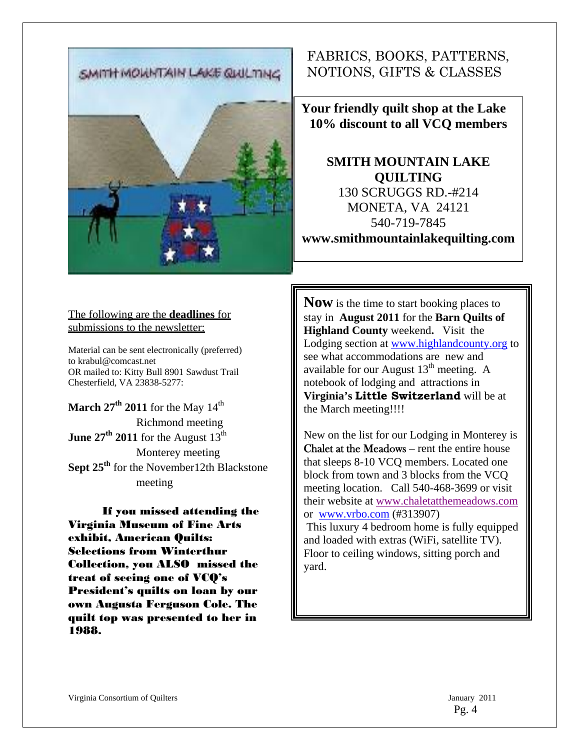SMITH MOWNTAIN LAKE QUULTING

# FABRICS, BOOKS, PATTERNS, NOTIONS, GIFTS & CLASSES

**Your friendly quilt shop at the Lake 10% discount to all VCQ members** 

**SMITH MOUNTAIN LAKE QUILTING**  130 SCRUGGS RD.-#214 MONETA, VA 24121 540-719-7845 **www.smithmountainlakequilting.com** 

#### The following are the **deadlines** for submissions to the newsletter:

Ï

Material can be sent electronically (preferred) to krabul@comcast.net OR mailed to: Kitty Bull 8901 Sawdust Trail Chesterfield, VA 23838-5277:

**March 27<sup>th</sup> 2011** for the May  $14<sup>th</sup>$ Richmond meeting **June 27<sup>th</sup> 2011** for the August  $13<sup>th</sup>$ Monterey meeting **Sept 25th** for the November12th Blackstone meeting

If you missed attending the Virginia Museum of Fine Arts exhibit, American Quilts: Selections from Winterthur Collection, you ALSO missed the treat of seeing one of VCQ's President's quilts on loan by our own Augusta Ferguson Cole. The quilt top was presented to her in 1988.

**Now** is the time to start booking places to stay in **August 2011** for the **Barn Quilts of Highland County** weekend**.** Visit the Lodging section at www.highlandcounty.org to see what accommodations are new and available for our August  $13<sup>th</sup>$  meeting. A notebook of lodging and attractions in **Virginia's Little Switzerland** will be at the March meeting!!!!

New on the list for our Lodging in Monterey is Chalet at the Meadows – rent the entire house that sleeps 8-10 VCQ members. Located one block from town and 3 blocks from the VCQ meeting location. Call 540-468-3699 or visit their website at www.chaletatthemeadows.com or www.vrbo.com (#313907) This luxury 4 bedroom home is fully equipped and loaded with extras (WiFi, satellite TV). Floor to ceiling windows, sitting porch and yard.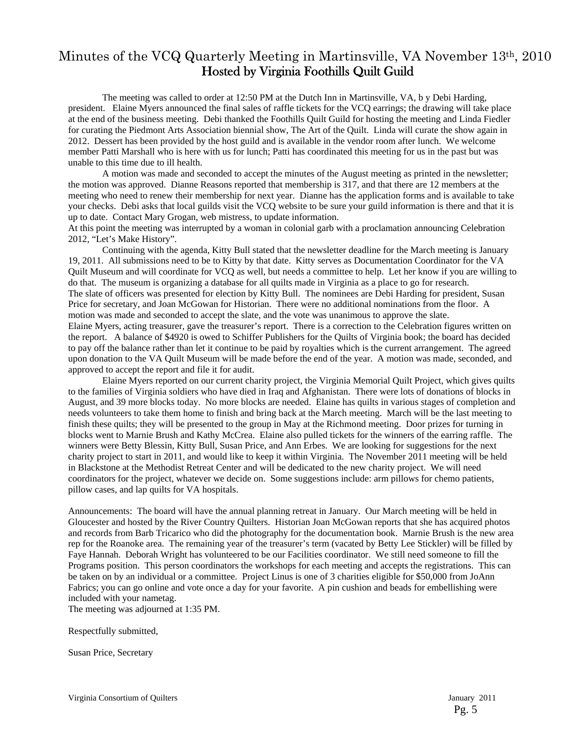# Minutes of the VCQ Quarterly Meeting in Martinsville, VA November 13th, 2010 Hosted by Virginia Foothills Quilt Guild

The meeting was called to order at 12:50 PM at the Dutch Inn in Martinsville, VA, b y Debi Harding, president. Elaine Myers announced the final sales of raffle tickets for the VCQ earrings; the drawing will take place at the end of the business meeting. Debi thanked the Foothills Quilt Guild for hosting the meeting and Linda Fiedler for curating the Piedmont Arts Association biennial show, The Art of the Quilt. Linda will curate the show again in 2012. Dessert has been provided by the host guild and is available in the vendor room after lunch. We welcome member Patti Marshall who is here with us for lunch; Patti has coordinated this meeting for us in the past but was unable to this time due to ill health.

A motion was made and seconded to accept the minutes of the August meeting as printed in the newsletter; the motion was approved. Dianne Reasons reported that membership is 317, and that there are 12 members at the meeting who need to renew their membership for next year. Dianne has the application forms and is available to take your checks. Debi asks that local guilds visit the VCQ website to be sure your guild information is there and that it is up to date. Contact Mary Grogan, web mistress, to update information.

At this point the meeting was interrupted by a woman in colonial garb with a proclamation announcing Celebration 2012, "Let's Make History".

Continuing with the agenda, Kitty Bull stated that the newsletter deadline for the March meeting is January 19, 2011. All submissions need to be to Kitty by that date. Kitty serves as Documentation Coordinator for the VA Quilt Museum and will coordinate for VCQ as well, but needs a committee to help. Let her know if you are willing to do that. The museum is organizing a database for all quilts made in Virginia as a place to go for research. The slate of officers was presented for election by Kitty Bull. The nominees are Debi Harding for president, Susan Price for secretary, and Joan McGowan for Historian. There were no additional nominations from the floor. A motion was made and seconded to accept the slate, and the vote was unanimous to approve the slate. Elaine Myers, acting treasurer, gave the treasurer's report. There is a correction to the Celebration figures written on the report. A balance of \$4920 is owed to Schiffer Publishers for the Quilts of Virginia book; the board has decided to pay off the balance rather than let it continue to be paid by royalties which is the current arrangement. The agreed upon donation to the VA Quilt Museum will be made before the end of the year. A motion was made, seconded, and approved to accept the report and file it for audit.

Elaine Myers reported on our current charity project, the Virginia Memorial Quilt Project, which gives quilts to the families of Virginia soldiers who have died in Iraq and Afghanistan. There were lots of donations of blocks in August, and 39 more blocks today. No more blocks are needed. Elaine has quilts in various stages of completion and needs volunteers to take them home to finish and bring back at the March meeting. March will be the last meeting to finish these quilts; they will be presented to the group in May at the Richmond meeting. Door prizes for turning in blocks went to Marnie Brush and Kathy McCrea. Elaine also pulled tickets for the winners of the earring raffle. The winners were Betty Blessin, Kitty Bull, Susan Price, and Ann Erbes. We are looking for suggestions for the next charity project to start in 2011, and would like to keep it within Virginia. The November 2011 meeting will be held in Blackstone at the Methodist Retreat Center and will be dedicated to the new charity project. We will need coordinators for the project, whatever we decide on. Some suggestions include: arm pillows for chemo patients, pillow cases, and lap quilts for VA hospitals.

Announcements: The board will have the annual planning retreat in January. Our March meeting will be held in Gloucester and hosted by the River Country Quilters. Historian Joan McGowan reports that she has acquired photos and records from Barb Tricarico who did the photography for the documentation book. Marnie Brush is the new area rep for the Roanoke area. The remaining year of the treasurer's term (vacated by Betty Lee Stickler) will be filled by Faye Hannah. Deborah Wright has volunteered to be our Facilities coordinator. We still need someone to fill the Programs position. This person coordinators the workshops for each meeting and accepts the registrations. This can be taken on by an individual or a committee. Project Linus is one of 3 charities eligible for \$50,000 from JoAnn Fabrics; you can go online and vote once a day for your favorite. A pin cushion and beads for embellishing were included with your nametag.

The meeting was adjourned at 1:35 PM.

Respectfully submitted,

Susan Price, Secretary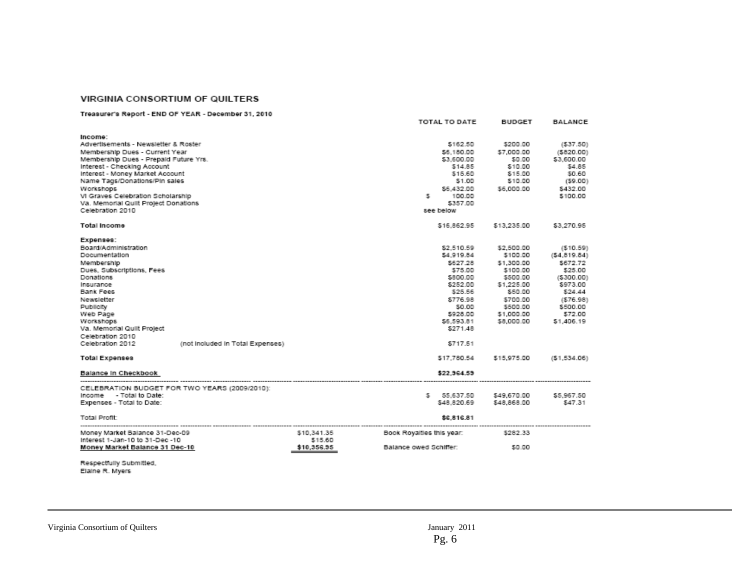#### VIRGINIA CONSORTIUM OF QUILTERS

#### Treasurer's Report - END OF YEAR - December 31, 2010

|                                                                                                                                                                                                                                                                                                                                             |                                  |                                       |                                                     | TOTAL TO DATE                                                                             | <b>BUDGET</b>                                                                                                                                                                                                                  | <b>BALANCE</b>                                                                                                                       |
|---------------------------------------------------------------------------------------------------------------------------------------------------------------------------------------------------------------------------------------------------------------------------------------------------------------------------------------------|----------------------------------|---------------------------------------|-----------------------------------------------------|-------------------------------------------------------------------------------------------|--------------------------------------------------------------------------------------------------------------------------------------------------------------------------------------------------------------------------------|--------------------------------------------------------------------------------------------------------------------------------------|
| Income:<br>Advertisements - Newsletter & Roster<br>Membership Dues - Current Year<br>Membership Dues - Prepaid Future Yrs.<br>Interest - Checking Account<br>Interest - Money Market Account<br>Name Tags/Donations/Pin sales<br>Workshops<br>VI Graves Celebration Scholarship<br>Va. Memorial Quilt Project Donations<br>Celebration 2010 |                                  |                                       | s.                                                  | \$162.50<br>\$3,600.00<br>\$14.85<br>\$15.60<br>\$1.00<br>100.00<br>\$357.00<br>see below | \$200.00<br>\$6.180.00 \$7.000.00<br>\$0.00<br>\$10.00<br>\$15.00<br>\$10.00<br>\$6,432.00 \$6,000.00                                                                                                                          | (537.50)<br>( \$820.00)<br>\$3,600.00<br>\$4.85<br>\$0.60<br>(59.00)<br>\$432.00<br>\$100.00                                         |
| <b>Total Income</b>                                                                                                                                                                                                                                                                                                                         |                                  |                                       |                                                     | \$16.862.95                                                                               | \$13,235.00                                                                                                                                                                                                                    | \$3,270.95                                                                                                                           |
| Expenses:<br>Board/Administration<br>Documentation<br>Membership<br>Dues, Subscriptions, Fees<br>Donations<br>Insurance<br>Bank Fees<br>Newsletter<br>Publicity<br>Web Page<br>Workshops<br>Va. Memorial Quilt Project<br>Celebration 2010<br>Celebration 2012                                                                              | (not included in Total Expenses) |                                       |                                                     | \$2,510.59<br>\$25.56<br>\$271.48<br>\$717.51                                             | \$2,500.00<br>\$4,919.84 \$100.00<br>\$627.28 \$1,300.00<br>\$75.00 \$100.00<br>\$800.00 \$500.00<br>\$252.00 \$1,225.00<br>\$50.00<br>\$776.98 \$700.00<br>\$0.00 \$500.00<br>\$928.00 \$1,000.00<br>\$6,593.81    \$8,000.00 | (510.59)<br>(54, 819.84)<br>\$672.72<br>\$25.00<br>(5300.00)<br>\$973.00<br>\$24.44<br>(576.98)<br>\$500.00<br>\$72.00<br>\$1,406.19 |
| <b>Total Expenses</b>                                                                                                                                                                                                                                                                                                                       |                                  |                                       |                                                     | \$17.780.54                                                                               | \$15,975.00                                                                                                                                                                                                                    | (51.534.06)                                                                                                                          |
| Balance in Checkbook                                                                                                                                                                                                                                                                                                                        |                                  |                                       |                                                     | \$22,964.59                                                                               |                                                                                                                                                                                                                                |                                                                                                                                      |
| CELEBRATION BUDGET FOR TWO YEARS (2009/2010):<br>Income - Total to Date:<br>Expenses - Total to Date:<br><b>Total Profit:</b>                                                                                                                                                                                                               |                                  |                                       |                                                     | \$ 55,637.50<br>\$48,820,69 \$48,868.00<br>\$6,816.81                                     | \$49,670.00                                                                                                                                                                                                                    | \$5,967.50<br>\$47.31                                                                                                                |
| Money Market Balance 31-Dec-09<br>Interest 1-Jan-10 to 31-Dec -10<br>Money Market Balance 31 Dec-10                                                                                                                                                                                                                                         |                                  | \$10,341.35<br>\$15.60<br>\$10,356.95 | Book Royalties this year:<br>Balance owed Schiffer: |                                                                                           | \$282.33<br>\$0.00                                                                                                                                                                                                             |                                                                                                                                      |

Respectfully Submitted,<br>Elaine R. Myers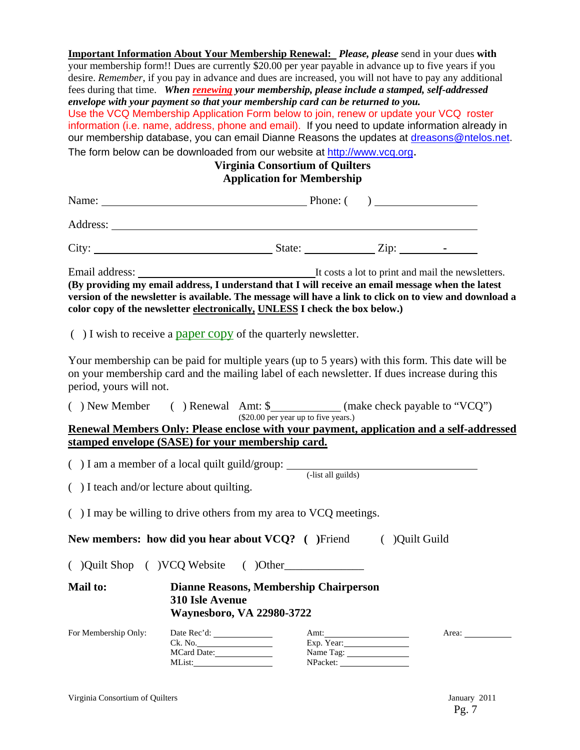**Important Information About Your Membership Renewal:** *Please, please* send in your dues **with** your membership form!! Dues are currently \$20.00 per year payable in advance up to five years if you desire. *Remember*, if you pay in advance and dues are increased, you will not have to pay any additional fees during that time. *When renewing your membership, please include a stamped, self-addressed envelope with your payment so that your membership card can be returned to you.*  Use the VCQ Membership Application Form below to join, renew or update your VCQ roster information (i.e. name, address, phone and email). If you need to update information already in our membership database, you can email Dianne Reasons the updates at dreasons@ntelos.net. The form below can be downloaded from our website at http://www.vcq.org. **Virginia Consortium of Quilters** 

## **Application for Membership**

|                                                   |                                       | Address: <u>experimental</u> contract the contract of the contract of the contract of the contract of the contract of the contract of the contract of the contract of the contract of the contract of the contract of the contract                                                          |            |  |
|---------------------------------------------------|---------------------------------------|---------------------------------------------------------------------------------------------------------------------------------------------------------------------------------------------------------------------------------------------------------------------------------------------|------------|--|
|                                                   |                                       | City: $\frac{\text{City:}}{\text{With } \text{Right}}$                                                                                                                                                                                                                                      |            |  |
|                                                   |                                       | (By providing my email address, I understand that I will receive an email message when the latest<br>version of the newsletter is available. The message will have a link to click on to view and download a<br>color copy of the newsletter electronically, UNLESS I check the box below.) |            |  |
|                                                   |                                       | $( )$ I wish to receive a paper copy of the quarterly newsletter.                                                                                                                                                                                                                           |            |  |
| period, yours will not.                           |                                       | Your membership can be paid for multiple years (up to 5 years) with this form. This date will be<br>on your membership card and the mailing label of each newsletter. If dues increase during this                                                                                          |            |  |
|                                                   |                                       | () New Member () Renewal Amt: \$ ___________ (make check payable to "VCQ")<br>(\$20.00 per year up to five years.)                                                                                                                                                                          |            |  |
| stamped envelope (SASE) for your membership card. |                                       | Renewal Members Only: Please enclose with your payment, application and a self-addressed                                                                                                                                                                                                    |            |  |
| () I teach and/or lecture about quilting.         |                                       | ( $\int$ ) I am a member of a local quilt guild/group: $\frac{1}{\int \text{dist all guides}}$                                                                                                                                                                                              |            |  |
|                                                   |                                       | () I may be willing to drive others from my area to VCQ meetings.<br>New members: how did you hear about VCQ? ( )Friend ( )Quilt Guild                                                                                                                                                      |            |  |
|                                                   |                                       |                                                                                                                                                                                                                                                                                             |            |  |
| <b>Mail to:</b>                                   | 310 Isle Avenue                       | <b>Dianne Reasons, Membership Chairperson</b><br><b>Waynesboro, VA 22980-3722</b>                                                                                                                                                                                                           |            |  |
| For Membership Only:                              | Date Rec'd:<br>Ck. No.<br>MCard Date: |                                                                                                                                                                                                                                                                                             | Exp. Year: |  |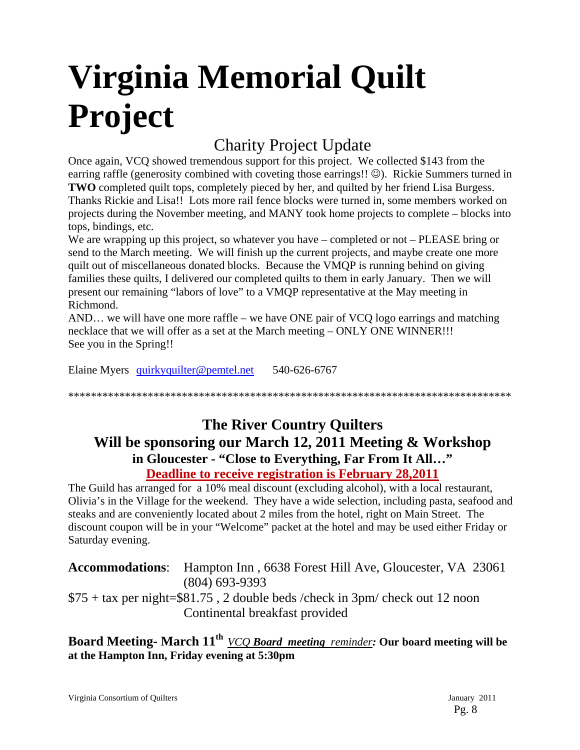# **Virginia Memorial Quilt Project**

# Charity Project Update

Once again, VCQ showed tremendous support for this project. We collected \$143 from the earring raffle (generosity combined with coveting those earrings!!  $\odot$ ). Rickie Summers turned in **TWO** completed quilt tops, completely pieced by her, and quilted by her friend Lisa Burgess. Thanks Rickie and Lisa!! Lots more rail fence blocks were turned in, some members worked on projects during the November meeting, and MANY took home projects to complete – blocks into tops, bindings, etc.

We are wrapping up this project, so whatever you have – completed or not – PLEASE bring or send to the March meeting. We will finish up the current projects, and maybe create one more quilt out of miscellaneous donated blocks. Because the VMQP is running behind on giving families these quilts, I delivered our completed quilts to them in early January. Then we will present our remaining "labors of love" to a VMQP representative at the May meeting in Richmond.

AND… we will have one more raffle – we have ONE pair of VCQ logo earrings and matching necklace that we will offer as a set at the March meeting – ONLY ONE WINNER!!! See you in the Spring!!

Elaine Myers quirkyquilter@pemtel.net 540-626-6767

\*\*\*\*\*\*\*\*\*\*\*\*\*\*\*\*\*\*\*\*\*\*\*\*\*\*\*\*\*\*\*\*\*\*\*\*\*\*\*\*\*\*\*\*\*\*\*\*\*\*\*\*\*\*\*\*\*\*\*\*\*\*\*\*\*\*\*\*\*\*\*\*\*\*\*\*\*\*

# **The River Country Quilters Will be sponsoring our March 12, 2011 Meeting & Workshop in Gloucester - "Close to Everything, Far From It All…" Deadline to receive registration is February 28,2011**

The Guild has arranged for a 10% meal discount (excluding alcohol), with a local restaurant, Olivia's in the Village for the weekend. They have a wide selection, including pasta, seafood and steaks and are conveniently located about 2 miles from the hotel, right on Main Street. The discount coupon will be in your "Welcome" packet at the hotel and may be used either Friday or Saturday evening.

**Accommodations**: Hampton Inn , 6638 Forest Hill Ave, Gloucester, VA 23061 (804) 693-9393 \$75 + tax per night=\$81.75 , 2 double beds /check in 3pm/ check out 12 noon Continental breakfast provided

**Board Meeting- March 11th** *VCQ Board meeting reminder:* **Our board meeting will be at the Hampton Inn, Friday evening at 5:30pm**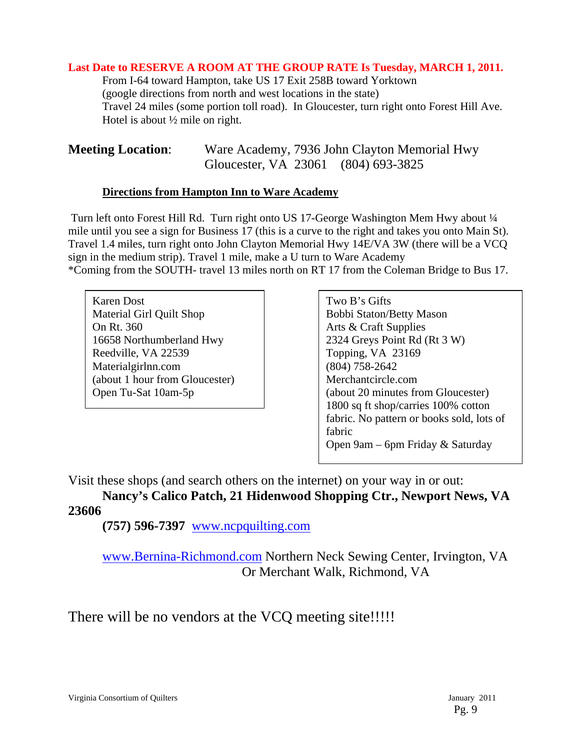#### **Last Date to RESERVE A ROOM AT THE GROUP RATE Is Tuesday, MARCH 1, 2011.**

 From I-64 toward Hampton, take US 17 Exit 258B toward Yorktown (google directions from north and west locations in the state) Travel 24 miles (some portion toll road). In Gloucester, turn right onto Forest Hill Ave. Hotel is about ½ mile on right.

| <b>Meeting Location:</b> |                                     | Ware Academy, 7936 John Clayton Memorial Hwy |
|--------------------------|-------------------------------------|----------------------------------------------|
|                          | Gloucester, VA 23061 (804) 693-3825 |                                              |

#### **Directions from Hampton Inn to Ware Academy**

 Turn left onto Forest Hill Rd. Turn right onto US 17-George Washington Mem Hwy about ¼ mile until you see a sign for Business 17 (this is a curve to the right and takes you onto Main St). Travel 1.4 miles, turn right onto John Clayton Memorial Hwy 14E/VA 3W (there will be a VCQ sign in the medium strip). Travel 1 mile, make a U turn to Ware Academy \*Coming from the SOUTH- travel 13 miles north on RT 17 from the Coleman Bridge to Bus 17.

Karen Dost Material Girl Quilt Shop On Rt. 360 16658 Northumberland Hwy Reedville, VA 22539 Materialgirlnn.com (about 1 hour from Gloucester) Open Tu-Sat 10am-5p

Two B's Gifts Bobbi Staton/Betty Mason Arts & Craft Supplies 2324 Greys Point Rd (Rt 3 W) Topping, VA 23169 (804) 758-2642 Merchantcircle.com (about 20 minutes from Gloucester) 1800 sq ft shop/carries 100% cotton fabric. No pattern or books sold, lots of fabric Open 9am – 6pm Friday & Saturday

Visit these shops (and search others on the internet) on your way in or out:

**Nancy's Calico Patch, 21 Hidenwood Shopping Ctr., Newport News, VA 23606** 

 **(757) 596-7397** www.ncpquilting.com

www.Bernina-Richmond.com Northern Neck Sewing Center, Irvington, VA Or Merchant Walk, Richmond, VA

There will be no vendors at the VCQ meeting site!!!!!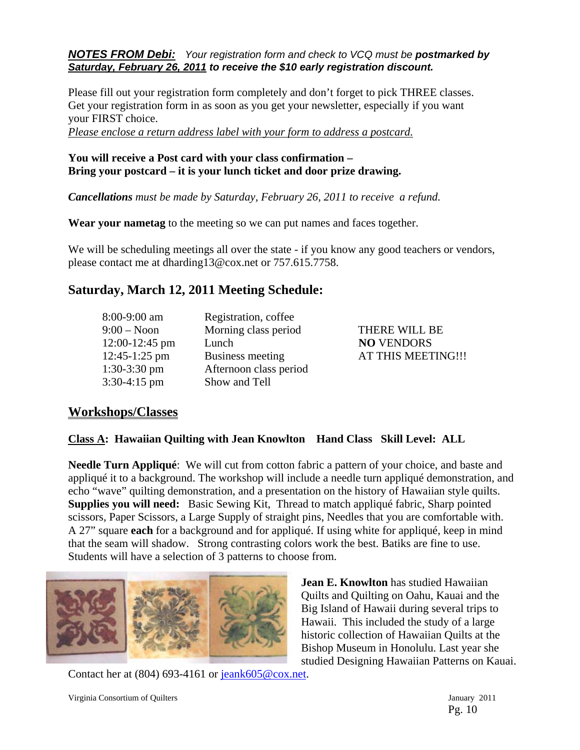*NOTES FROM Debi: Your registration form and check to VCQ must be postmarked by Saturday, February 26, 2011 to receive the \$10 early registration discount.* 

Please fill out your registration form completely and don't forget to pick THREE classes. Get your registration form in as soon as you get your newsletter, especially if you want your FIRST choice.

*Please enclose a return address label with your form to address a postcard.*

#### **You will receive a Post card with your class confirmation – Bring your postcard – it is your lunch ticket and door prize drawing.**

*Cancellations must be made by Saturday, February 26, 2011 to receive a refund.* 

**Wear your nametag** to the meeting so we can put names and faces together.

We will be scheduling meetings all over the state - if you know any good teachers or vendors, please contact me at dharding13@cox.net or 757.615.7758.

# **Saturday, March 12, 2011 Meeting Schedule:**

| 8:00-9:00 am   | Registration, coffee    |
|----------------|-------------------------|
| $9:00 - N$ oon | Morning class period    |
| 12:00-12:45 pm | Lunch                   |
| 12:45-1:25 pm  | <b>Business meeting</b> |
| $1:30-3:30$ pm | Afternoon class period  |
| $3:30-4:15$ pm | Show and Tell           |

THERE WILL BE **NO** VENDORS AT THIS MEETING !!!

## **Workshops/Classes**

#### **Class A: Hawaiian Quilting with Jean Knowlton Hand Class Skill Level: ALL**

**Needle Turn Appliqué**: We will cut from cotton fabric a pattern of your choice, and baste and appliqué it to a background. The workshop will include a needle turn appliqué demonstration, and echo "wave" quilting demonstration, and a presentation on the history of Hawaiian style quilts. **Supplies you will need:** Basic Sewing Kit, Thread to match appliqué fabric, Sharp pointed scissors, Paper Scissors, a Large Supply of straight pins, Needles that you are comfortable with. A 27" square **each** for a background and for appliqué. If using white for appliqué, keep in mind that the seam will shadow. Strong contrasting colors work the best. Batiks are fine to use. Students will have a selection of 3 patterns to choose from.



**Jean E. Knowlton** has studied Hawaiian Quilts and Quilting on Oahu, Kauai and the Big Island of Hawaii during several trips to Hawaii. This included the study of a large historic collection of Hawaiian Quilts at the Bishop Museum in Honolulu. Last year she studied Designing Hawaiian Patterns on Kauai.

Contact her at (804) 693-4161 or jeank605@cox.net.

Virginia Consortium of Quilters January 2011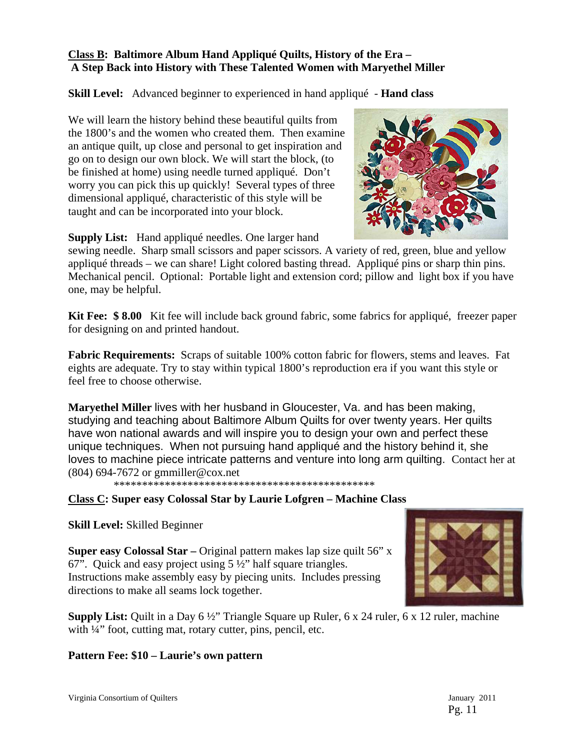#### **Class B: Baltimore Album Hand Appliqué Quilts, History of the Era – A Step Back into History with These Talented Women with Maryethel Miller**

**Skill Level:** Advanced beginner to experienced in hand appliqué - **Hand class** 

We will learn the history behind these beautiful quilts from the 1800's and the women who created them. Then examine an antique quilt, up close and personal to get inspiration and go on to design our own block. We will start the block, (to be finished at home) using needle turned appliqué. Don't worry you can pick this up quickly! Several types of three dimensional appliqué, characteristic of this style will be taught and can be incorporated into your block.



**Supply List:** Hand appliqué needles. One larger hand

sewing needle. Sharp small scissors and paper scissors. A variety of red, green, blue and yellow appliqué threads – we can share! Light colored basting thread. Appliqué pins or sharp thin pins. Mechanical pencil. Optional: Portable light and extension cord; pillow and light box if you have one, may be helpful.

**Kit Fee: \$ 8.00** Kit fee will include back ground fabric, some fabrics for appliqué, freezer paper for designing on and printed handout.

**Fabric Requirements:** Scraps of suitable 100% cotton fabric for flowers, stems and leaves. Fat eights are adequate. Try to stay within typical 1800's reproduction era if you want this style or feel free to choose otherwise.

**Maryethel Miller** lives with her husband in Gloucester, Va. and has been making, studying and teaching about Baltimore Album Quilts for over twenty years. Her quilts have won national awards and will inspire you to design your own and perfect these unique techniques. When not pursuing hand appliqué and the history behind it, she loves to machine piece intricate patterns and venture into long arm quilting. Contact her at (804) 694-7672 or gmmiller@cox.net

\*\*\*\*\*\*\*\*\*\*\*\*\*\*\*\*\*\*\*\*\*\*\*\*\*\*\*\*\*\*\*\*\*\*\*\*\*\*\*\*\*\*\*\*\*\*

**Class C: Super easy Colossal Star by Laurie Lofgren – Machine Class** 

**Skill Level:** Skilled Beginner

**Super easy Colossal Star –** Original pattern makes lap size quilt 56" x 67". Quick and easy project using 5 ½" half square triangles. Instructions make assembly easy by piecing units. Includes pressing directions to make all seams lock together.



**Supply List:** Quilt in a Day 6 ½" Triangle Square up Ruler, 6 x 24 ruler, 6 x 12 ruler, machine with  $\frac{1}{4}$  foot, cutting mat, rotary cutter, pins, pencil, etc.

## **Pattern Fee: \$10 – Laurie's own pattern**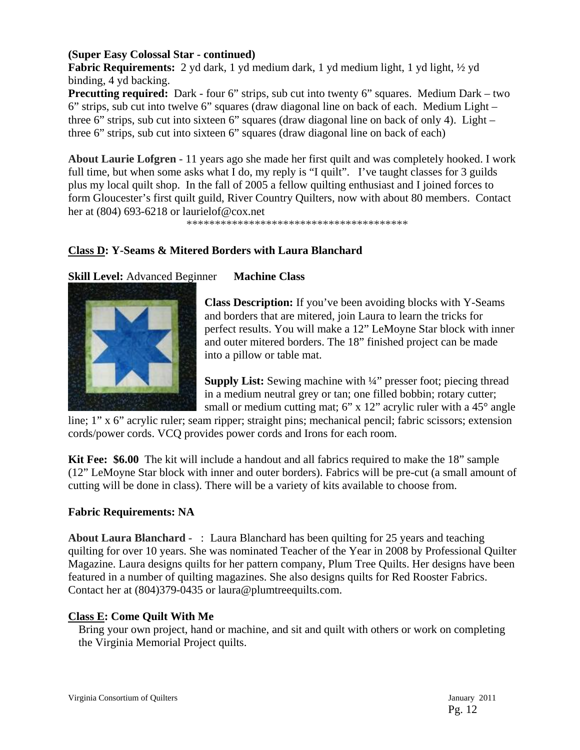#### **(Super Easy Colossal Star - continued)**

**Fabric Requirements:** 2 yd dark, 1 yd medium dark, 1 yd medium light, 1 yd light, 1/2 yd binding, 4 yd backing.

**Precutting required:** Dark - four 6" strips, sub cut into twenty 6" squares. Medium Dark – two 6" strips, sub cut into twelve 6" squares (draw diagonal line on back of each. Medium Light – three 6" strips, sub cut into sixteen 6" squares (draw diagonal line on back of only 4). Light – three 6" strips, sub cut into sixteen 6" squares (draw diagonal line on back of each)

**About Laurie Lofgren -** 11 years ago she made her first quilt and was completely hooked. I work full time, but when some asks what I do, my reply is "I quilt". I've taught classes for 3 guilds plus my local quilt shop. In the fall of 2005 a fellow quilting enthusiast and I joined forces to form Gloucester's first quilt guild, River Country Quilters, now with about 80 members. Contact her at (804) 693-6218 or laurielof@cox.net

\*\*\*\*\*\*\*\*\*\*\*\*\*\*\*\*\*\*\*\*\*\*\*\*\*\*\*\*\*\*\*\*\*\*\*\*\*\*\*

#### **Class D: Y-Seams & Mitered Borders with Laura Blanchard**

#### **Skill Level:** Advanced Beginner **Machine Class**



**Class Description:** If you've been avoiding blocks with Y-Seams and borders that are mitered, join Laura to learn the tricks for perfect results. You will make a 12" LeMoyne Star block with inner and outer mitered borders. The 18" finished project can be made into a pillow or table mat.

**Supply List:** Sewing machine with ¼" presser foot; piecing thread in a medium neutral grey or tan; one filled bobbin; rotary cutter; small or medium cutting mat; 6" x 12" acrylic ruler with a 45° angle

line; 1" x 6" acrylic ruler; seam ripper; straight pins; mechanical pencil; fabric scissors; extension cords/power cords. VCQ provides power cords and Irons for each room.

**Kit Fee: \$6.00** The kit will include a handout and all fabrics required to make the 18" sample (12" LeMoyne Star block with inner and outer borders). Fabrics will be pre-cut (a small amount of cutting will be done in class). There will be a variety of kits available to choose from.

#### **Fabric Requirements: NA**

**About Laura Blanchard -** : Laura Blanchard has been quilting for 25 years and teaching quilting for over 10 years. She was nominated Teacher of the Year in 2008 by Professional Quilter Magazine. Laura designs quilts for her pattern company, Plum Tree Quilts. Her designs have been featured in a number of quilting magazines. She also designs quilts for Red Rooster Fabrics. Contact her at (804)379-0435 or laura@plumtreequilts.com.

#### **Class E: Come Quilt With Me**

Bring your own project, hand or machine, and sit and quilt with others or work on completing the Virginia Memorial Project quilts.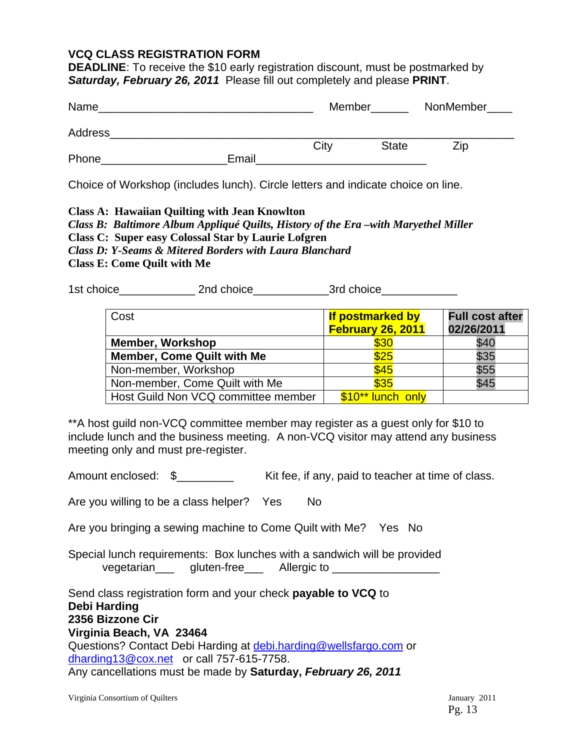#### **VCQ CLASS REGISTRATION FORM**

**DEADLINE:** To receive the \$10 early registration discount, must be postmarked by *Saturday, February 26, 2011* Please fill out completely and please **PRINT**.

| Name    |       | Member |              | NonMember |
|---------|-------|--------|--------------|-----------|
| Address |       |        |              |           |
|         |       | City   | <b>State</b> | Zip       |
| Phone   | Email |        |              |           |

Choice of Workshop (includes lunch). Circle letters and indicate choice on line.

#### **Class A: Hawaiian Quilting with Jean Knowlton**

*Class B: Baltimore Album Appliqué Quilts, History of the Era –with Maryethel Miller* 

**Class C: Super easy Colossal Star by Laurie Lofgren** 

*Class D: Y-Seams & Mitered Borders with Laura Blanchard* 

**Class E: Come Quilt with Me** 

1st choice\_\_\_\_\_\_\_\_\_\_\_\_ 2nd choice\_\_\_\_\_\_\_\_\_\_\_\_3rd choice\_\_\_\_\_\_\_\_\_\_\_\_

| Cost                                | If postmarked by<br>February 26, 2011 | <b>Full cost after</b><br>02/26/2011 |  |
|-------------------------------------|---------------------------------------|--------------------------------------|--|
| <b>Member, Workshop</b>             | \$30                                  | \$40                                 |  |
| <b>Member, Come Quilt with Me</b>   | \$25                                  | \$35                                 |  |
| Non-member, Workshop                | \$45                                  | \$55                                 |  |
| Non-member, Come Quilt with Me      | \$35                                  | \$45                                 |  |
| Host Guild Non VCQ committee member | \$10** lunch only                     |                                      |  |

\*\*A host guild non-VCQ committee member may register as a guest only for \$10 to include lunch and the business meeting. A non-VCQ visitor may attend any business meeting only and must pre-register.

Amount enclosed:  $\delta$  Kit fee, if any, paid to teacher at time of class.

Are you willing to be a class helper? Yes No

Are you bringing a sewing machine to Come Quilt with Me? Yes No

Special lunch requirements: Box lunches with a sandwich will be provided vegetarian\_\_\_ gluten-free\_\_\_ Allergic to \_\_\_\_\_\_\_\_\_\_\_\_\_\_\_\_\_

Send class registration form and your check **payable to VCQ** to **Debi Harding 2356 Bizzone Cir Virginia Beach, VA 23464**  Questions? Contact Debi Harding at debi.harding@wellsfargo.com or dharding13@cox.net or call 757-615-7758.